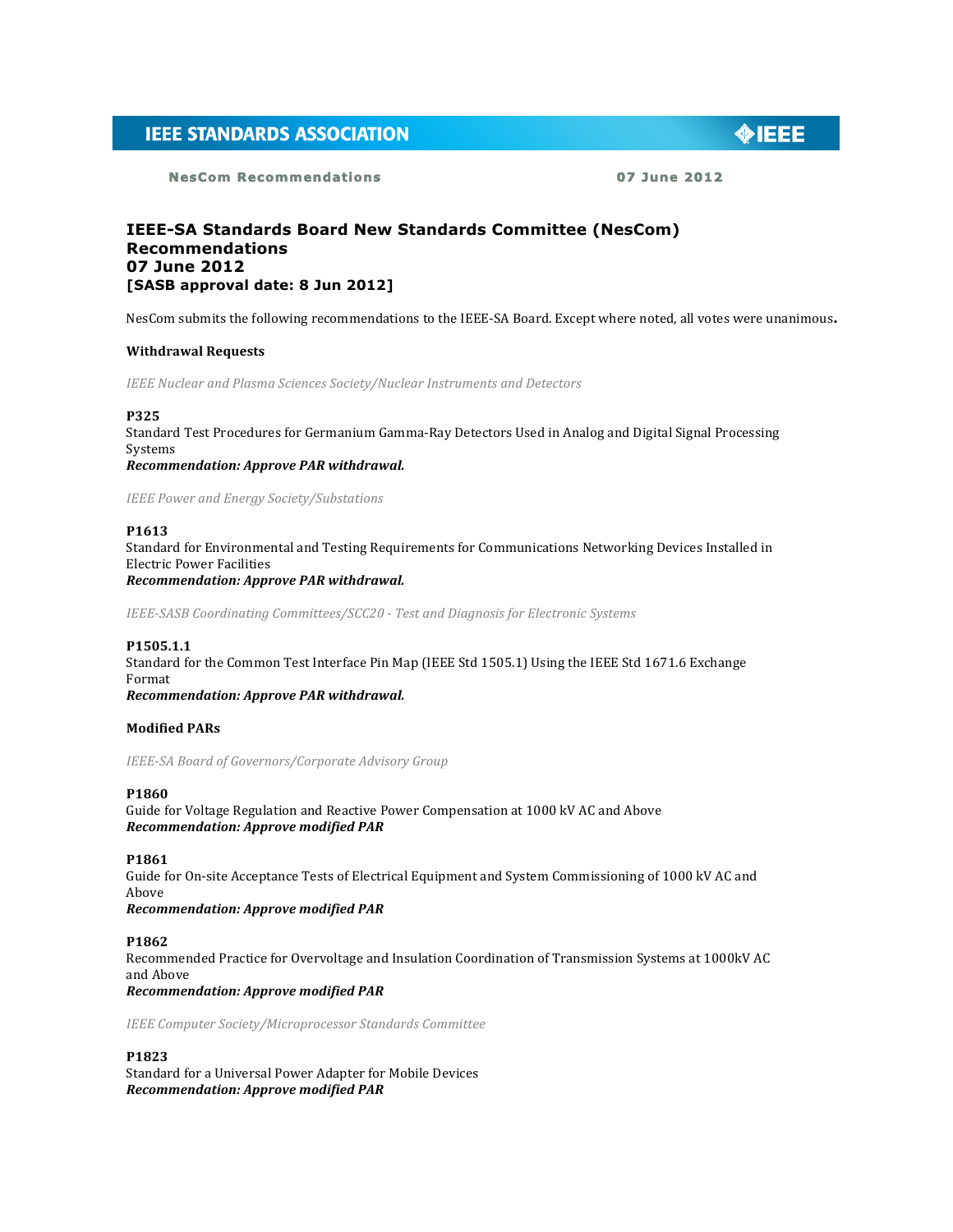# **IEEE STANDARDS ASSOCIATION**

**NesCom Recommendations 07 June 2012** 

 $\bigcirc$  IEEE

# **IEEE-SA Standards Board New Standards Committee (NesCom) Recommendations 07 June 2012 [SASB approval date: 8 Jun 2012]**

NesCom submits the following recommendations to the IEEE-SA Board. Except where noted, all votes were unanimous.

# **Withdrawal Requests**

**IEEE** Nuclear and Plasma Sciences Society/Nuclear Instruments and Detectors

#### **P325**

Standard Test Procedures for Germanium Gamma-Ray Detectors Used in Analog and Digital Signal Processing Systems

*Recommendation: Approve PAR withdrawal.*

*IEEE Power and Energy Society/Substations*

# **P1613**

Standard for Environmental and Testing Requirements for Communications Networking Devices Installed in **Electric Power Facilities** *Recommendation: Approve PAR withdrawal.*

*IEEE-SASB Coordinating Committees/SCC20 - Test and Diagnosis for Electronic Systems*

#### **P1505.1.1**

Standard for the Common Test Interface Pin Map (IEEE Std 1505.1) Using the IEEE Std 1671.6 Exchange Format *Recommendation: Approve PAR withdrawal.*

#### **Modified PARs**

*IEEE-SA Board of Governors/Corporate Advisory Group*

# **P1860**

Guide for Voltage Regulation and Reactive Power Compensation at 1000 kV AC and Above *Recommendation: Approve modified PAR*

# **P1861**

Guide for On-site Acceptance Tests of Electrical Equipment and System Commissioning of 1000 kV AC and Above *Recommendation: Approve modified PAR*

## **P1862**

Recommended Practice for Overvoltage and Insulation Coordination of Transmission Systems at 1000kV AC and Above *Recommendation: Approve modified PAR*

*IEEE Computer Society/Microprocessor Standards Committee*

**P1823**

Standard for a Universal Power Adapter for Mobile Devices *Recommendation: Approve modified PAR*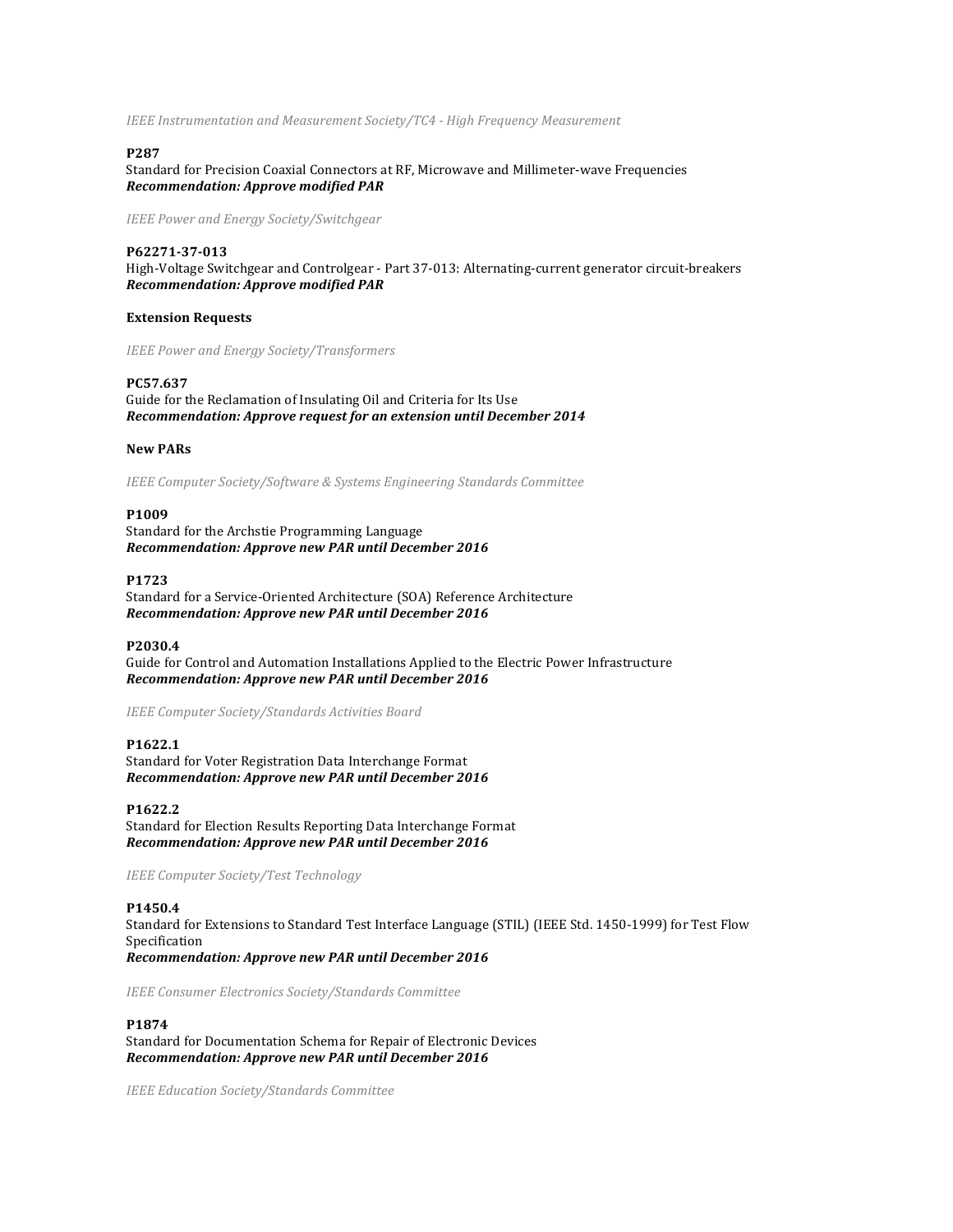*IEEE Instrumentation and Measurement Society/TC4 - High Frequency Measurement* 

# **P287**

Standard for Precision Coaxial Connectors at RF, Microwave and Millimeter-wave Frequencies *Recommendation: Approve modified PAR*

*IEEE Power and Energy Society/Switchgear*

### **P62271-37-013**

High-Voltage Switchgear and Controlgear - Part 37-013: Alternating-current generator circuit-breakers *Recommendation: Approve modified PAR*

#### **Extension Requests**

*IEEE Power and Energy Society/Transformers*

#### **PC57.637**

Guide for the Reclamation of Insulating Oil and Criteria for Its Use Recommendation: Approve request for an extension until December 2014

#### **New PARs**

*IEEE* Computer Society/Software & Systems Engineering Standards Committee

### **P1009**

Standard for the Archstie Programming Language *Recommendation: Approve new PAR until December 2016*

#### **P1723**

Standard for a Service-Oriented Architecture (SOA) Reference Architecture *Recommendation: Approve new PAR until December 2016*

#### **P2030.4**

Guide for Control and Automation Installations Applied to the Electric Power Infrastructure *Recommendation: Approve new PAR until December 2016*

#### *IEEE Computer Society/Standards Activities Board*

#### **P1622.1**

Standard for Voter Registration Data Interchange Format *Recommendation: Approve new PAR until December 2016*

# **P1622.2**

Standard for Election Results Reporting Data Interchange Format *Recommendation: Approve new PAR until December 2016*

*IEEE Computer Society/Test Technology*

# **P1450.4**

Standard for Extensions to Standard Test Interface Language (STIL) (IEEE Std. 1450-1999) for Test Flow Specification *Recommendation: Approve new PAR until December 2016*

*IEEE Consumer Electronics Society/Standards Committee*

# **P1874**

Standard for Documentation Schema for Repair of Electronic Devices *Recommendation: Approve new PAR until December 2016*

*IEEE Education Society/Standards Committee*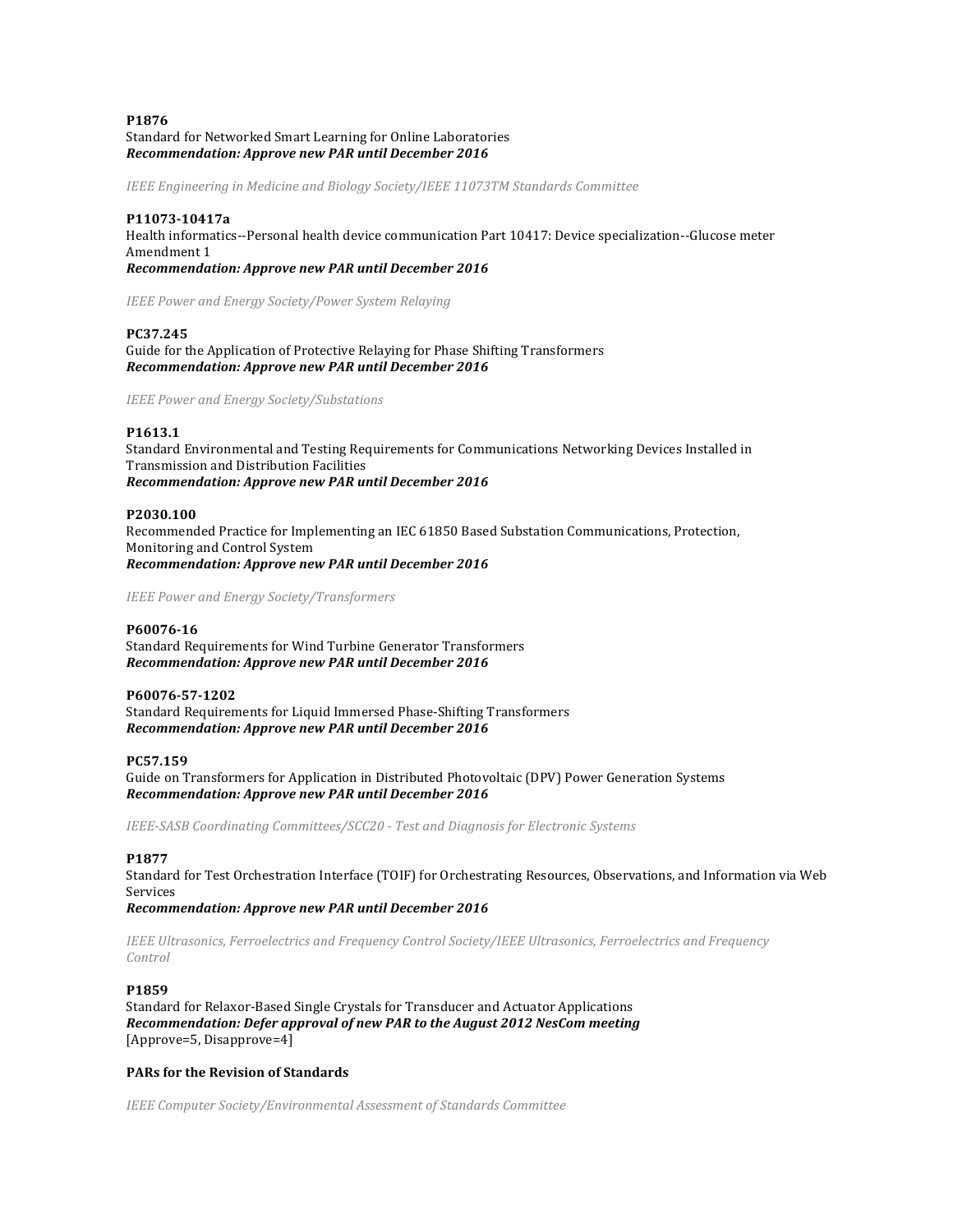# **P1876** Standard for Networked Smart Learning for Online Laboratories *Recommendation: Approve new PAR until December 2016*

*IEEE Engineering in Medicine and Biology Society/IEEE 11073TM Standards Committee* 

#### **P11073-10417a**

Health informatics--Personal health device communication Part 10417: Device specialization--Glucose meter Amendment 1

*Recommendation: Approve new PAR until December 2016*

*IEEE Power and Energy Society/Power System Relaying*

#### **PC37.245**

Guide for the Application of Protective Relaying for Phase Shifting Transformers *Recommendation: Approve new PAR until December 2016*

*IEEE Power and Energy Society/Substations*

# **P1613.1**

Standard Environmental and Testing Requirements for Communications Networking Devices Installed in Transmission and Distribution Facilities *Recommendation: Approve new PAR until December 2016*

#### **P2030.100**

Recommended Practice for Implementing an IEC 61850 Based Substation Communications, Protection, Monitoring and Control System *Recommendation: Approve new PAR until December 2016*

*IEEE Power and Energy Society/Transformers*

# **P60076-16**

Standard Requirements for Wind Turbine Generator Transformers *Recommendation: Approve new PAR until December 2016*

#### **P60076-57-1202**

Standard Requirements for Liquid Immersed Phase-Shifting Transformers *Recommendation: Approve new PAR until December 2016*

# **PC57.159**

Guide on Transformers for Application in Distributed Photovoltaic (DPV) Power Generation Systems *Recommendation: Approve new PAR until December 2016*

*IEEE-SASB Coordinating Committees/SCC20 - Test and Diagnosis for Electronic Systems*

# **P1877**

Standard for Test Orchestration Interface (TOIF) for Orchestrating Resources, Observations, and Information via Web Services

*Recommendation: Approve new PAR until December 2016*

*IEEE Ultrasonics, Ferroelectrics and Frequency Control Society/IEEE Ultrasonics, Ferroelectrics and Frequency Control*

# **P1859**

Standard for Relaxor-Based Single Crystals for Transducer and Actuator Applications *Recommendation: Defer approval of new PAR to the August 2012 NesCom meeting* [Approve=5, Disapprove=4]

# **PARs for the Revision of Standards**

*IEEE* Computer Society/Environmental Assessment of Standards Committee